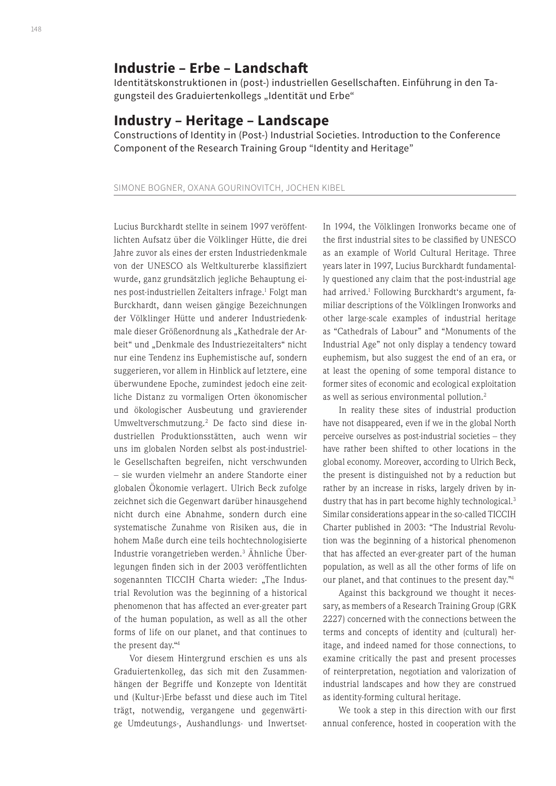# **Industrie – Erbe – Landschaft**

Identitätskonstruktionen in (post-) industriellen Gesellschaften. Einführung in den Tagungsteil des Graduiertenkollegs "Identität und Erbe"

## **Industry – Heritage – Landscape**

Constructions of Identity in (Post-) Industrial Societies. Introduction to the Conference Component of the Research Training Group "Identity and Heritage"

## SIMONE BOGNER, OXANA GOURINOVITCH, JOCHEN KIBEL

Lucius Burckhardt stellte in seinem 1997 veröffentlichten Aufsatz über die Völklinger Hütte, die drei Jahre zuvor als eines der ersten Industriedenkmale von der UNESCO als Weltkulturerbe klassifiziert wurde, ganz grundsätzlich jegliche Behauptung eines post-industriellen Zeitalters infrage.<sup>1</sup> Folgt man Burckhardt, dann weisen gängige Bezeichnungen der Völklinger Hütte und anderer Industriedenkmale dieser Größenordnung als "Kathedrale der Arbeit" und "Denkmale des Industriezeitalters" nicht nur eine Tendenz ins Euphemistische auf, sondern suggerieren, vor allem in Hinblick auf letztere, eine überwundene Epoche, zumindest jedoch eine zeitliche Distanz zu vormaligen Orten ökonomischer und ökologischer Ausbeutung und gravierender Umweltverschmutzung.2 De facto sind diese industriellen Produktionsstätten, auch wenn wir uns im globalen Norden selbst als post-industrielle Gesellschaften begreifen, nicht verschwunden – sie wurden vielmehr an andere Standorte einer globalen Ökonomie verlagert. Ulrich Beck zufolge zeichnet sich die Gegenwart darüber hinausgehend nicht durch eine Abnahme, sondern durch eine systematische Zunahme von Risiken aus, die in hohem Maße durch eine teils hochtechnologisierte Industrie vorangetrieben werden.3 Ähnliche Überlegungen finden sich in der 2003 veröffentlichten sogenannten TICCIH Charta wieder: "The Industrial Revolution was the beginning of a historical phenomenon that has affected an ever-greater part of the human population, as well as all the other forms of life on our planet, and that continues to the present day."4

Vor diesem Hintergrund erschien es uns als Graduiertenkolleg, das sich mit den Zusammenhängen der Begriffe und Konzepte von Identität und (Kultur-)Erbe befasst und diese auch im Titel trägt, notwendig, vergangene und gegenwärtige Umdeutungs-, Aushandlungs- und InwertsetIn 1994, the Völklingen Ironworks became one of the first industrial sites to be classified by UNESCO as an example of World Cultural Heritage. Three years later in 1997, Lucius Burckhardt fundamentally questioned any claim that the post-industrial age had arrived.<sup>1</sup> Following Burckhardt's argument, familiar descriptions of the Völklingen Ironworks and other large-scale examples of industrial heritage as "Cathedrals of Labour" and "Monuments of the Industrial Age" not only display a tendency toward euphemism, but also suggest the end of an era, or at least the opening of some temporal distance to former sites of economic and ecological exploitation as well as serious environmental pollution.<sup>2</sup>

In reality these sites of industrial production have not disappeared, even if we in the global North perceive ourselves as post-industrial societies – they have rather been shifted to other locations in the global economy. Moreover, according to Ulrich Beck, the present is distinguished not by a reduction but rather by an increase in risks, largely driven by industry that has in part become highly technological.<sup>3</sup> Similar considerations appear in the so-called TICCIH Charter published in 2003: "The Industrial Revolution was the beginning of a historical phenomenon that has affected an ever-greater part of the human population, as well as all the other forms of life on our planet, and that continues to the present day."4

Against this background we thought it necessary, as members of a Research Training Group (GRK 2227) concerned with the connections between the terms and concepts of identity and (cultural) heritage, and indeed named for those connections, to examine critically the past and present processes of reinterpretation, negotiation and valorization of industrial landscapes and how they are construed as identity-forming cultural heritage.

We took a step in this direction with our first annual conference, hosted in cooperation with the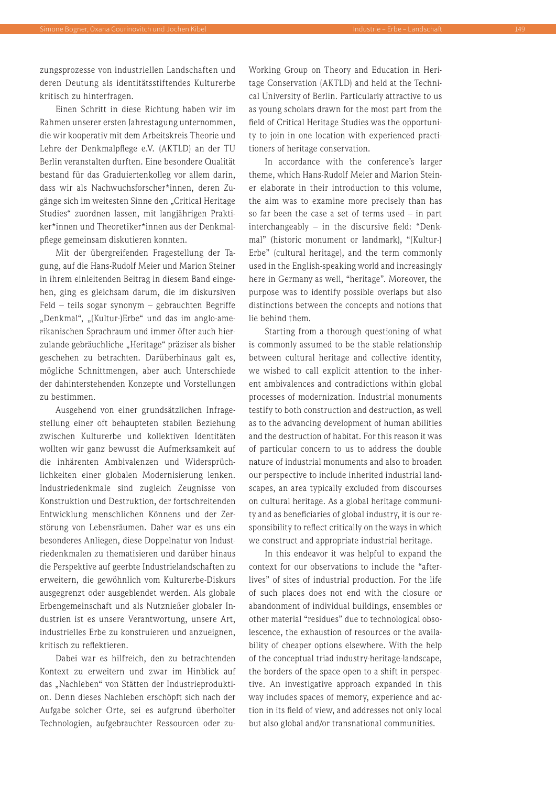zungsprozesse von industriellen Landschaften und deren Deutung als identitätsstiftendes Kulturerbe kritisch zu hinterfragen.

Einen Schritt in diese Richtung haben wir im Rahmen unserer ersten Jahrestagung unternommen, die wir kooperativ mit dem Arbeitskreis Theorie und Lehre der Denkmalpflege e.V. (AKTLD) an der TU Berlin veranstalten durften. Eine besondere Qualität bestand für das Graduiertenkolleg vor allem darin, dass wir als Nachwuchsforscher\*innen, deren Zugänge sich im weitesten Sinne den "Critical Heritage Studies" zuordnen lassen, mit langjährigen Praktiker\*innen und Theoretiker\*innen aus der Denkmalpflege gemeinsam diskutieren konnten.

Mit der übergreifenden Fragestellung der Tagung, auf die Hans-Rudolf Meier und Marion Steiner in ihrem einleitenden Beitrag in diesem Band eingehen, ging es gleichsam darum, die im diskursiven Feld – teils sogar synonym – gebrauchten Begriffe "Denkmal", "(Kultur-)Erbe" und das im anglo-amerikanischen Sprachraum und immer öfter auch hierzulande gebräuchliche "Heritage" präziser als bisher geschehen zu betrachten. Darüberhinaus galt es, mögliche Schnittmengen, aber auch Unterschiede der dahinterstehenden Konzepte und Vorstellungen zu bestimmen.

Ausgehend von einer grundsätzlichen Infragestellung einer oft behaupteten stabilen Beziehung zwischen Kulturerbe und kollektiven Identitäten wollten wir ganz bewusst die Aufmerksamkeit auf die inhärenten Ambivalenzen und Widersprüchlichkeiten einer globalen Modernisierung lenken. Industriedenkmale sind zugleich Zeugnisse von Konstruktion und Destruktion, der fortschreitenden Entwicklung menschlichen Könnens und der Zerstörung von Lebensräumen. Daher war es uns ein besonderes Anliegen, diese Doppelnatur von Industriedenkmalen zu thematisieren und darüber hinaus die Perspektive auf geerbte Industrielandschaften zu erweitern, die gewöhnlich vom Kulturerbe-Diskurs ausgegrenzt oder ausgeblendet werden. Als globale Erbengemeinschaft und als Nutznießer globaler Industrien ist es unsere Verantwortung, unsere Art, industrielles Erbe zu konstruieren und anzueignen, kritisch zu reflektieren.

Dabei war es hilfreich, den zu betrachtenden Kontext zu erweitern und zwar im Hinblick auf das "Nachleben" von Stätten der Industrieproduktion. Denn dieses Nachleben erschöpft sich nach der Aufgabe solcher Orte, sei es aufgrund überholter Technologien, aufgebrauchter Ressourcen oder zuWorking Group on Theory and Education in Heritage Conservation (AKTLD) and held at the Technical University of Berlin. Particularly attractive to us as young scholars drawn for the most part from the field of Critical Heritage Studies was the opportunity to join in one location with experienced practitioners of heritage conservation.

In accordance with the conference's larger theme, which Hans-Rudolf Meier and Marion Steiner elaborate in their introduction to this volume, the aim was to examine more precisely than has so far been the case a set of terms used – in part interchangeably – in the discursive field: "Denkmal" (historic monument or landmark), "(Kultur-) Erbe" (cultural heritage), and the term commonly used in the English-speaking world and increasingly here in Germany as well, "heritage". Moreover, the purpose was to identify possible overlaps but also distinctions between the concepts and notions that lie behind them.

Starting from a thorough questioning of what is commonly assumed to be the stable relationship between cultural heritage and collective identity, we wished to call explicit attention to the inherent ambivalences and contradictions within global processes of modernization. Industrial monuments testify to both construction and destruction, as well as to the advancing development of human abilities and the destruction of habitat. For this reason it was of particular concern to us to address the double nature of industrial monuments and also to broaden our perspective to include inherited industrial landscapes, an area typically excluded from discourses on cultural heritage. As a global heritage community and as beneficiaries of global industry, it is our responsibility to reflect critically on the ways in which we construct and appropriate industrial heritage.

In this endeavor it was helpful to expand the context for our observations to include the "afterlives" of sites of industrial production. For the life of such places does not end with the closure or abandonment of individual buildings, ensembles or other material "residues" due to technological obsolescence, the exhaustion of resources or the availability of cheaper options elsewhere. With the help of the conceptual triad industry-heritage-landscape, the borders of the space open to a shift in perspective. An investigative approach expanded in this way includes spaces of memory, experience and action in its field of view, and addresses not only local but also global and/or transnational communities.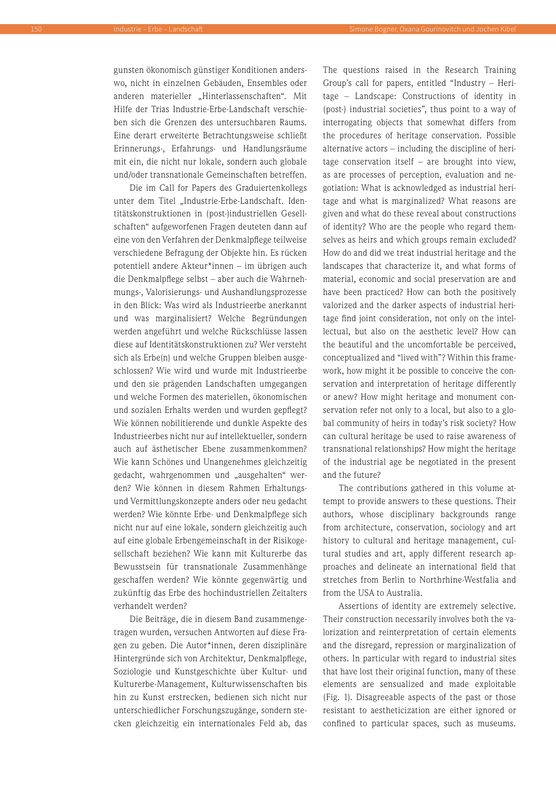gunsten ökonomisch günstiger Konditionen anderswo, nicht in einzelnen Gebäuden, Ensembles oder anderen materieller "Hinterlassenschaften". Mit Hilfe der Trias Industrie-Erbe-Landschaft verschieben sich die Grenzen des untersuchbaren Raums. Eine derart erweiterte Betrachtungsweise schließt Erinnerungs-, Erfahrungs- und Handlungsräume mit ein, die nicht nur lokale, sondern auch globale und/oder transnationale Gemeinschaften betreffen.

Die im Call for Papers des Graduiertenkollegs unter dem Titel "Industrie-Erbe-Landschaft. Identitätskonstruktionen in (post-)industriellen Gesellschaften" aufgeworfenen Fragen deuteten dann auf eine von den Verfahren der Denkmalpflege teilweise verschiedene Befragung der Objekte hin. Es rücken potentiell andere Akteur\*innen – im übrigen auch die Denkmalpflege selbst – aber auch die Wahrnehmungs-, Valorisierungs- und Aushandlungsprozesse in den Blick: Was wird als Industrieerbe anerkannt und was marginalisiert? Welche Begründungen werden angeführt und welche Rückschlüsse lassen diese auf Identitätskonstruktionen zu? Wer versteht sich als Erbe(n) und welche Gruppen bleiben ausgeschlossen? Wie wird und wurde mit Industrieerbe und den sie prägenden Landschaften umgegangen und welche Formen des materiellen, ökonomischen und sozialen Erhalts werden und wurden gepflegt? Wie können nobilitierende und dunkle Aspekte des Industrieerbes nicht nur auf intellektueller, sondern auch auf ästhetischer Ebene zusammenkommen? Wie kann Schönes und Unangenehmes gleichzeitig gedacht, wahrgenommen und "ausgehalten" werden? Wie können in diesem Rahmen Erhaltungsund Vermittlungskonzepte anders oder neu gedacht werden? Wie könnte Erbe- und Denkmalpflege sich nicht nur auf eine lokale, sondern gleichzeitig auch auf eine globale Erbengemeinschaft in der Risikogesellschaft beziehen? Wie kann mit Kulturerbe das Bewusstsein für transnationale Zusammenhänge geschaffen werden? Wie könnte gegenwärtig und zukünftig das Erbe des hochindustriellen Zeitalters verhandelt werden?

Die Beiträge, die in diesem Band zusammengetragen wurden, versuchen Antworten auf diese Fragen zu geben. Die Autor\*innen, deren disziplinäre Hintergründe sich von Architektur, Denkmalpflege, Soziologie und Kunstgeschichte über Kultur- und Kulturerbe-Management, Kulturwissenschaften bis hin zu Kunst erstrecken, bedienen sich nicht nur unterschiedlicher Forschungszugänge, sondern stecken gleichzeitig ein internationales Feld ab, das

The questions raised in the Research Training Group's call for papers, entitled "Industry – Heritage – Landscape: Constructions of identity in (post-) industrial societies", thus point to a way of interrogating objects that somewhat differs from the procedures of heritage conservation. Possible alternative actors – including the discipline of heritage conservation itself – are brought into view, as are processes of perception, evaluation and negotiation: What is acknowledged as industrial heritage and what is marginalized? What reasons are given and what do these reveal about constructions of identity? Who are the people who regard themselves as heirs and which groups remain excluded? How do and did we treat industrial heritage and the landscapes that characterize it, and what forms of material, economic and social preservation are and have been practiced? How can both the positively valorized and the darker aspects of industrial heritage find joint consideration, not only on the intellectual, but also on the aesthetic level? How can the beautiful and the uncomfortable be perceived, conceptualized and "lived with"? Within this framework, how might it be possible to conceive the conservation and interpretation of heritage differently or anew? How might heritage and monument conservation refer not only to a local, but also to a global community of heirs in today's risk society? How can cultural heritage be used to raise awareness of transnational relationships? How might the heritage of the industrial age be negotiated in the present and the future?

The contributions gathered in this volume attempt to provide answers to these questions. Their authors, whose disciplinary backgrounds range from architecture, conservation, sociology and art history to cultural and heritage management, cultural studies and art, apply different research approaches and delineate an international field that stretches from Berlin to Northrhine-Westfalia and from the USA to Australia.

Assertions of identity are extremely selective. Their construction necessarily involves both the valorization and reinterpretation of certain elements and the disregard, repression or marginalization of others. In particular with regard to industrial sites that have lost their original function, many of these elements are sensualized and made exploitable (Fig. 1). Disagreeable aspects of the past or those resistant to aestheticization are either ignored or confined to particular spaces, such as museums.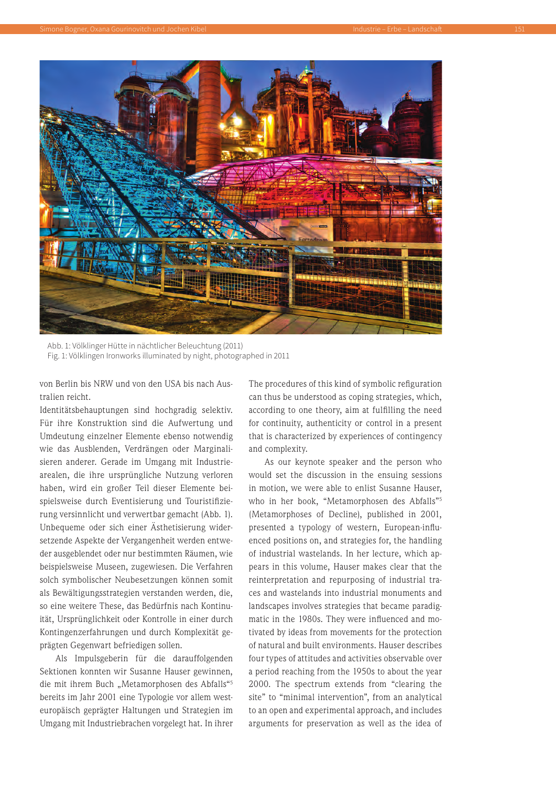

Abb. 1: Völklinger Hütte in nächtlicher Beleuchtung (2011) Fig. 1: Völklingen Ironworks illuminated by night, photographed in 2011

von Berlin bis NRW und von den USA bis nach Australien reicht.

Identitätsbehauptungen sind hochgradig selektiv. Für ihre Konstruktion sind die Aufwertung und Umdeutung einzelner Elemente ebenso notwendig wie das Ausblenden, Verdrängen oder Marginalisieren anderer. Gerade im Umgang mit Industriearealen, die ihre ursprüngliche Nutzung verloren haben, wird ein großer Teil dieser Elemente beispielsweise durch Eventisierung und Touristifizierung versinnlicht und verwertbar gemacht (Abb. 1). Unbequeme oder sich einer Ästhetisierung widersetzende Aspekte der Vergangenheit werden entweder ausgeblendet oder nur bestimmten Räumen, wie beispielsweise Museen, zugewiesen. Die Verfahren solch symbolischer Neubesetzungen können somit als Bewältigungsstrategien verstanden werden, die, so eine weitere These, das Bedürfnis nach Kontinuität, Ursprünglichkeit oder Kontrolle in einer durch Kontingenzerfahrungen und durch Komplexität geprägten Gegenwart befriedigen sollen.

Als Impulsgeberin für die darauffolgenden Sektionen konnten wir Susanne Hauser gewinnen, die mit ihrem Buch "Metamorphosen des Abfalls"<sup>5</sup> bereits im Jahr 2001 eine Typologie vor allem westeuropäisch geprägter Haltungen und Strategien im Umgang mit Industriebrachen vorgelegt hat. In ihrer The procedures of this kind of symbolic refiguration can thus be understood as coping strategies, which, according to one theory, aim at fulfilling the need for continuity, authenticity or control in a present that is characterized by experiences of contingency and complexity.

As our keynote speaker and the person who would set the discussion in the ensuing sessions in motion, we were able to enlist Susanne Hauser, who in her book, "Metamorphosen des Abfalls"5 (Metamorphoses of Decline), published in 2001, presented a typology of western, European-influenced positions on, and strategies for, the handling of industrial wastelands. In her lecture, which appears in this volume, Hauser makes clear that the reinterpretation and repurposing of industrial traces and wastelands into industrial monuments and landscapes involves strategies that became paradigmatic in the 1980s. They were influenced and motivated by ideas from movements for the protection of natural and built environments. Hauser describes four types of attitudes and activities observable over a period reaching from the 1950s to about the year 2000. The spectrum extends from "clearing the site" to "minimal intervention", from an analytical to an open and experimental approach, and includes arguments for preservation as well as the idea of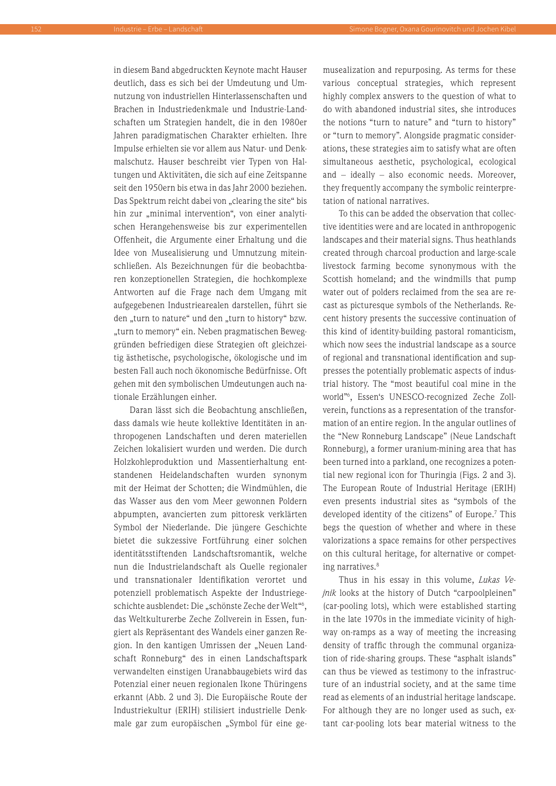in diesem Band abgedruckten Keynote macht Hauser deutlich, dass es sich bei der Umdeutung und Umnutzung von industriellen Hinterlassenschaften und Brachen in Industriedenkmale und Industrie-Landschaften um Strategien handelt, die in den 1980er Jahren paradigmatischen Charakter erhielten. Ihre Impulse erhielten sie vor allem aus Natur- und Denkmalschutz. Hauser beschreibt vier Typen von Haltungen und Aktivitäten, die sich auf eine Zeitspanne seit den 1950ern bis etwa in das Jahr 2000 beziehen. Das Spektrum reicht dabei von "clearing the site" bis hin zur "minimal intervention", von einer analytischen Herangehensweise bis zur experimentellen Offenheit, die Argumente einer Erhaltung und die Idee von Musealisierung und Umnutzung miteinschließen. Als Bezeichnungen für die beobachtbaren konzeptionellen Strategien, die hochkomplexe Antworten auf die Frage nach dem Umgang mit aufgegebenen Industriearealen darstellen, führt sie den "turn to nature" und den "turn to history" bzw. "turn to memory" ein. Neben pragmatischen Beweggründen befriedigen diese Strategien oft gleichzeitig ästhetische, psychologische, ökologische und im besten Fall auch noch ökonomische Bedürfnisse. Oft gehen mit den symbolischen Umdeutungen auch nationale Erzählungen einher.

Daran lässt sich die Beobachtung anschließen, dass damals wie heute kollektive Identitäten in anthropogenen Landschaften und deren materiellen Zeichen lokalisiert wurden und werden. Die durch Holzkohleproduktion und Massentierhaltung entstandenen Heidelandschaften wurden synonym mit der Heimat der Schotten; die Windmühlen, die das Wasser aus den vom Meer gewonnen Poldern abpumpten, avancierten zum pittoresk verklärten Symbol der Niederlande. Die jüngere Geschichte bietet die sukzessive Fortführung einer solchen identitätsstiftenden Landschaftsromantik, welche nun die Industrielandschaft als Quelle regionaler und transnationaler Identifikation verortet und potenziell problematisch Aspekte der Industriegeschichte ausblendet: Die "schönste Zeche der Welt"<sup>6</sup>, das Weltkulturerbe Zeche Zollverein in Essen, fungiert als Repräsentant des Wandels einer ganzen Region. In den kantigen Umrissen der "Neuen Landschaft Ronneburg" des in einen Landschaftspark verwandelten einstigen Uranabbaugebiets wird das Potenzial einer neuen regionalen Ikone Thüringens erkannt (Abb. 2 und 3). Die Europäische Route der Industriekultur (ERIH) stilisiert industrielle Denkmale gar zum europäischen "Symbol für eine gemusealization and repurposing. As terms for these various conceptual strategies, which represent highly complex answers to the question of what to do with abandoned industrial sites, she introduces the notions "turn to nature" and "turn to history" or "turn to memory". Alongside pragmatic considerations, these strategies aim to satisfy what are often simultaneous aesthetic, psychological, ecological and – ideally – also economic needs. Moreover, they frequently accompany the symbolic reinterpretation of national narratives.

To this can be added the observation that collective identities were and are located in anthropogenic landscapes and their material signs. Thus heathlands created through charcoal production and large-scale livestock farming become synonymous with the Scottish homeland; and the windmills that pump water out of polders reclaimed from the sea are recast as picturesque symbols of the Netherlands. Recent history presents the successive continuation of this kind of identity-building pastoral romanticism, which now sees the industrial landscape as a source of regional and transnational identification and suppresses the potentially problematic aspects of industrial history. The "most beautiful coal mine in the world"6 , Essen's UNESCO-recognized Zeche Zollverein, functions as a representation of the transformation of an entire region. In the angular outlines of the "New Ronneburg Landscape" (Neue Landschaft Ronneburg), a former uranium-mining area that has been turned into a parkland, one recognizes a potential new regional icon for Thuringia (Figs. 2 and 3). The European Route of Industrial Heritage (ERIH) even presents industrial sites as "symbols of the developed identity of the citizens" of Europe.7 This begs the question of whether and where in these valorizations a space remains for other perspectives on this cultural heritage, for alternative or competing narratives.<sup>8</sup>

Thus in his essay in this volume, *Lukas Vejnik* looks at the history of Dutch "carpoolpleinen" (car-pooling lots), which were established starting in the late 1970s in the immediate vicinity of highway on-ramps as a way of meeting the increasing density of traffic through the communal organization of ride-sharing groups. These "asphalt islands" can thus be viewed as testimony to the infrastructure of an industrial society, and at the same time read as elements of an industrial heritage landscape. For although they are no longer used as such, extant car-pooling lots bear material witness to the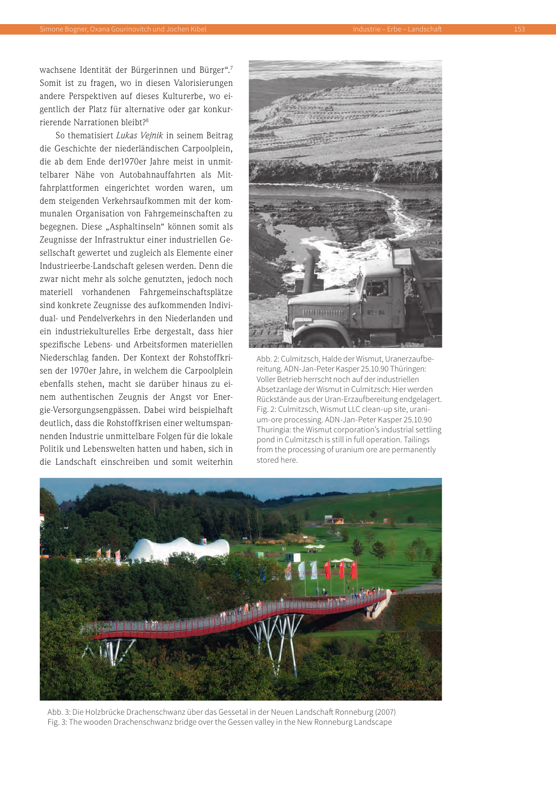wachsene Identität der Bürgerinnen und Bürger".7 Somit ist zu fragen, wo in diesen Valorisierungen andere Perspektiven auf dieses Kulturerbe, wo eigentlich der Platz für alternative oder gar konkurrierende Narrationen bleibt?8

So thematisiert *Lukas Vejnik* in seinem Beitrag die Geschichte der niederländischen Carpoolplein, die ab dem Ende der1970er Jahre meist in unmittelbarer Nähe von Autobahnauffahrten als Mitfahrplattformen eingerichtet worden waren, um dem steigenden Verkehrsaufkommen mit der kommunalen Organisation von Fahrgemeinschaften zu begegnen. Diese "Asphaltinseln" können somit als Zeugnisse der Infrastruktur einer industriellen Gesellschaft gewertet und zugleich als Elemente einer Industrieerbe-Landschaft gelesen werden. Denn die zwar nicht mehr als solche genutzten, jedoch noch materiell vorhandenen Fahrgemeinschaftsplätze sind konkrete Zeugnisse des aufkommenden Individual- und Pendelverkehrs in den Niederlanden und ein industriekulturelles Erbe dergestalt, dass hier spezifische Lebens- und Arbeitsformen materiellen Niederschlag fanden. Der Kontext der Rohstoffkrisen der 1970er Jahre, in welchem die Carpoolplein ebenfalls stehen, macht sie darüber hinaus zu einem authentischen Zeugnis der Angst vor Energie-Versorgungsengpässen. Dabei wird beispielhaft deutlich, dass die Rohstoffkrisen einer weltumspannenden Industrie unmittelbare Folgen für die lokale Politik und Lebenswelten hatten und haben, sich in die Landschaft einschreiben und somit weiterhin



Abb. 2: Culmitzsch, Halde der Wismut, Uranerzaufbereitung. ADN-Jan-Peter Kasper 25.10.90 Thüringen: Voller Betrieb herrscht noch auf der industriellen Absetzanlage der Wismut in Culmitzsch: Hier werden Rückstände aus der Uran-Erzaufbereitung endgelagert. Fig. 2: Culmitzsch, Wismut LLC clean-up site, uranium-ore processing. ADN-Jan-Peter Kasper 25.10.90 Thuringia: the Wismut corporation's industrial settling pond in Culmitzsch is still in full operation. Tailings from the processing of uranium ore are permanently stored here.



Abb. 3: Die Holzbrücke Drachenschwanz über das Gessetal in der Neuen Landschaft Ronneburg (2007) Fig. 3: The wooden Drachenschwanz bridge over the Gessen valley in the New Ronneburg Landscape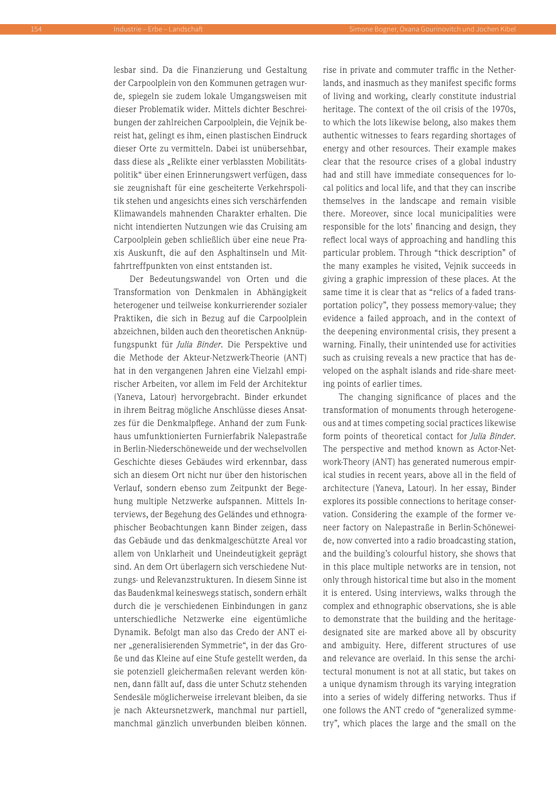lesbar sind. Da die Finanzierung und Gestaltung der Carpoolplein von den Kommunen getragen wurde, spiegeln sie zudem lokale Umgangsweisen mit dieser Problematik wider. Mittels dichter Beschreibungen der zahlreichen Carpoolplein, die Vejnik bereist hat, gelingt es ihm, einen plastischen Eindruck dieser Orte zu vermitteln. Dabei ist unübersehbar, dass diese als "Relikte einer verblassten Mobilitätspolitik" über einen Erinnerungswert verfügen, dass sie zeugnishaft für eine gescheiterte Verkehrspolitik stehen und angesichts eines sich verschärfenden Klimawandels mahnenden Charakter erhalten. Die nicht intendierten Nutzungen wie das Cruising am Carpoolplein geben schließlich über eine neue Praxis Auskunft, die auf den Asphaltinseln und Mitfahrtreffpunkten von einst entstanden ist.

Der Bedeutungswandel von Orten und die Transformation von Denkmalen in Abhängigkeit heterogener und teilweise konkurrierender sozialer Praktiken, die sich in Bezug auf die Carpoolplein abzeichnen, bilden auch den theoretischen Anknüpfungspunkt für *Julia Binder*. Die Perspektive und die Methode der Akteur-Netzwerk-Theorie (ANT) hat in den vergangenen Jahren eine Vielzahl empirischer Arbeiten, vor allem im Feld der Architektur (Yaneva, Latour) hervorgebracht. Binder erkundet in ihrem Beitrag mögliche Anschlüsse dieses Ansatzes für die Denkmalpflege. Anhand der zum Funkhaus umfunktionierten Furnierfabrik Nalepastraße in Berlin-Niederschöneweide und der wechselvollen Geschichte dieses Gebäudes wird erkennbar, dass sich an diesem Ort nicht nur über den historischen Verlauf, sondern ebenso zum Zeitpunkt der Begehung multiple Netzwerke aufspannen. Mittels Interviews, der Begehung des Geländes und ethnographischer Beobachtungen kann Binder zeigen, dass das Gebäude und das denkmalgeschützte Areal vor allem von Unklarheit und Uneindeutigkeit geprägt sind. An dem Ort überlagern sich verschiedene Nutzungs- und Relevanzstrukturen. In diesem Sinne ist das Baudenkmal keineswegs statisch, sondern erhält durch die je verschiedenen Einbindungen in ganz unterschiedliche Netzwerke eine eigentümliche Dynamik. Befolgt man also das Credo der ANT einer "generalisierenden Symmetrie", in der das Große und das Kleine auf eine Stufe gestellt werden, da sie potenziell gleichermaßen relevant werden können, dann fällt auf, dass die unter Schutz stehenden Sendesäle möglicherweise irrelevant bleiben, da sie je nach Akteursnetzwerk, manchmal nur partiell, manchmal gänzlich unverbunden bleiben können. rise in private and commuter traffic in the Netherlands, and inasmuch as they manifest specific forms of living and working, clearly constitute industrial heritage. The context of the oil crisis of the 1970s, to which the lots likewise belong, also makes them authentic witnesses to fears regarding shortages of energy and other resources. Their example makes clear that the resource crises of a global industry had and still have immediate consequences for local politics and local life, and that they can inscribe themselves in the landscape and remain visible there. Moreover, since local municipalities were responsible for the lots' financing and design, they reflect local ways of approaching and handling this particular problem. Through "thick description" of the many examples he visited, Vejnik succeeds in giving a graphic impression of these places. At the same time it is clear that as "relics of a faded transportation policy", they possess memory-value; they evidence a failed approach, and in the context of the deepening environmental crisis, they present a warning. Finally, their unintended use for activities such as cruising reveals a new practice that has developed on the asphalt islands and ride-share meeting points of earlier times.

The changing significance of places and the transformation of monuments through heterogeneous and at times competing social practices likewise form points of theoretical contact for *Julia Binder*. The perspective and method known as Actor-Network-Theory (ANT) has generated numerous empirical studies in recent years, above all in the field of architecture (Yaneva, Latour). In her essay, Binder explores its possible connections to heritage conservation. Considering the example of the former veneer factory on Nalepastraße in Berlin-Schöneweide, now converted into a radio broadcasting station, and the building's colourful history, she shows that in this place multiple networks are in tension, not only through historical time but also in the moment it is entered. Using interviews, walks through the complex and ethnographic observations, she is able to demonstrate that the building and the heritagedesignated site are marked above all by obscurity and ambiguity. Here, different structures of use and relevance are overlaid. In this sense the architectural monument is not at all static, but takes on a unique dynamism through its varying integration into a series of widely differing networks. Thus if one follows the ANT credo of "generalized symmetry", which places the large and the small on the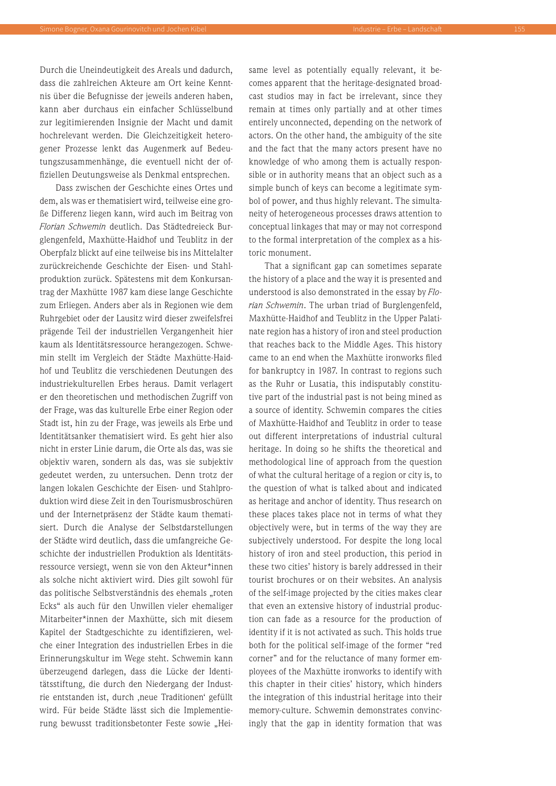Durch die Uneindeutigkeit des Areals und dadurch, dass die zahlreichen Akteure am Ort keine Kenntnis über die Befugnisse der jeweils anderen haben, kann aber durchaus ein einfacher Schlüsselbund zur legitimierenden Insignie der Macht und damit hochrelevant werden. Die Gleichzeitigkeit heterogener Prozesse lenkt das Augenmerk auf Bedeutungszusammenhänge, die eventuell nicht der offiziellen Deutungsweise als Denkmal entsprechen.

Dass zwischen der Geschichte eines Ortes und dem, als was er thematisiert wird, teilweise eine große Differenz liegen kann, wird auch im Beitrag von *Florian Schwemin* deutlich. Das Städtedreieck Burglengenfeld, Maxhütte-Haidhof und Teublitz in der Oberpfalz blickt auf eine teilweise bis ins Mittelalter zurückreichende Geschichte der Eisen- und Stahlproduktion zurück. Spätestens mit dem Konkursantrag der Maxhütte 1987 kam diese lange Geschichte zum Erliegen. Anders aber als in Regionen wie dem Ruhrgebiet oder der Lausitz wird dieser zweifelsfrei prägende Teil der industriellen Vergangenheit hier kaum als Identitätsressource herangezogen. Schwemin stellt im Vergleich der Städte Maxhütte-Haidhof und Teublitz die verschiedenen Deutungen des industriekulturellen Erbes heraus. Damit verlagert er den theoretischen und methodischen Zugriff von der Frage, was das kulturelle Erbe einer Region oder Stadt ist, hin zu der Frage, was jeweils als Erbe und Identitätsanker thematisiert wird. Es geht hier also nicht in erster Linie darum, die Orte als das, was sie objektiv waren, sondern als das, was sie subjektiv gedeutet werden, zu untersuchen. Denn trotz der langen lokalen Geschichte der Eisen- und Stahlproduktion wird diese Zeit in den Tourismusbroschüren und der Internetpräsenz der Städte kaum thematisiert. Durch die Analyse der Selbstdarstellungen der Städte wird deutlich, dass die umfangreiche Geschichte der industriellen Produktion als Identitätsressource versiegt, wenn sie von den Akteur\*innen als solche nicht aktiviert wird. Dies gilt sowohl für das politische Selbstverständnis des ehemals "roten Ecks" als auch für den Unwillen vieler ehemaliger Mitarbeiter\*innen der Maxhütte, sich mit diesem Kapitel der Stadtgeschichte zu identifizieren, welche einer Integration des industriellen Erbes in die Erinnerungskultur im Wege steht. Schwemin kann überzeugend darlegen, dass die Lücke der Identitätsstiftung, die durch den Niedergang der Industrie entstanden ist, durch ,neue Traditionen' gefüllt wird. Für beide Städte lässt sich die Implementierung bewusst traditionsbetonter Feste sowie "Heisame level as potentially equally relevant, it becomes apparent that the heritage-designated broadcast studios may in fact be irrelevant, since they remain at times only partially and at other times entirely unconnected, depending on the network of actors. On the other hand, the ambiguity of the site and the fact that the many actors present have no knowledge of who among them is actually responsible or in authority means that an object such as a simple bunch of keys can become a legitimate symbol of power, and thus highly relevant. The simultaneity of heterogeneous processes draws attention to conceptual linkages that may or may not correspond to the formal interpretation of the complex as a historic monument.

That a significant gap can sometimes separate the history of a place and the way it is presented and understood is also demonstrated in the essay by *Florian Schwemin*. The urban triad of Burglengenfeld, Maxhütte-Haidhof and Teublitz in the Upper Palatinate region has a history of iron and steel production that reaches back to the Middle Ages. This history came to an end when the Maxhütte ironworks filed for bankruptcy in 1987. In contrast to regions such as the Ruhr or Lusatia, this indisputably constitutive part of the industrial past is not being mined as a source of identity. Schwemin compares the cities of Maxhütte-Haidhof and Teublitz in order to tease out different interpretations of industrial cultural heritage. In doing so he shifts the theoretical and methodological line of approach from the question of what the cultural heritage of a region or city is, to the question of what is talked about and indicated as heritage and anchor of identity. Thus research on these places takes place not in terms of what they objectively were, but in terms of the way they are subjectively understood. For despite the long local history of iron and steel production, this period in these two cities' history is barely addressed in their tourist brochures or on their websites. An analysis of the self-image projected by the cities makes clear that even an extensive history of industrial production can fade as a resource for the production of identity if it is not activated as such. This holds true both for the political self-image of the former "red corner" and for the reluctance of many former employees of the Maxhütte ironworks to identify with this chapter in their cities' history, which hinders the integration of this industrial heritage into their memory-culture. Schwemin demonstrates convincingly that the gap in identity formation that was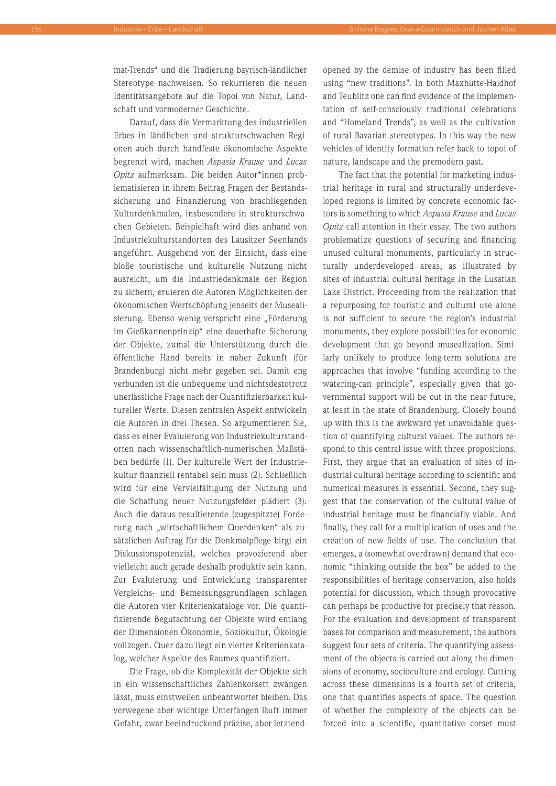mat-Trends" und die Tradierung bayrisch-ländlicher Stereotype nachweisen. So rekurrieren die neuen Identitätsangebote auf die Topoi von Natur, Landschaft und vormoderner Geschichte.

Darauf, dass die Vermarktung des industriellen Erbes in ländlichen und strukturschwachen Regionen auch durch handfeste ökonomische Aspekte begrenzt wird, machen *Aspasia Krause* und *Lucas Opitz* aufmerksam. Die beiden Autor\*innen problematisieren in ihrem Beitrag Fragen der Bestandssicherung und Finanzierung von brachliegenden Kulturdenkmalen, insbesondere in strukturschwachen Gebieten. Beispielhaft wird dies anhand von Industriekulturstandorten des Lausitzer Seenlands angeführt. Ausgehend von der Einsicht, dass eine bloße touristische und kulturelle Nutzung nicht ausreicht, um die Industriedenkmale der Region zu sichern, eruieren die Autoren Möglichkeiten der ökonomischen Wertschöpfung jenseits der Musealisierung. Ebenso wenig verspricht eine "Förderung im Gießkannenprinzip" eine dauerhafte Sicherung der Objekte, zumal die Unterstützung durch die öffentliche Hand bereits in naher Zukunft (für Brandenburg) nicht mehr gegeben sei. Damit eng verbunden ist die unbequeme und nichtsdestotrotz unerlässliche Frage nach der Quantifizierbarkeit kultureller Werte. Diesen zentralen Aspekt entwickeln die Autoren in drei Thesen. So argumentieren Sie, dass es einer Evaluierung von Industriekulturstandorten nach wissenschaftlich-numerischen Maßstäben bedürfe (1). Der kulturelle Wert der Industriekultur finanziell rentabel sein muss (2). Schließlich wird für eine Vervielfältigung der Nutzung und die Schaffung neuer Nutzungsfelder plädiert (3). Auch die daraus resultierende (zugespitzte) Forderung nach "wirtschaftlichem Querdenken" als zusätzlichen Auftrag für die Denkmalpflege birgt ein Diskussionspotenzial, welches provozierend aber vielleicht auch gerade deshalb produktiv sein kann. Zur Evaluierung und Entwicklung transparenter Vergleichs- und Bemessungsgrundlagen schlagen die Autoren vier Kriterienkataloge vor. Die quantifizierende Begutachtung der Objekte wird entlang der Dimensionen Ökonomie, Soziokultur, Ökologie vollzogen. Quer dazu liegt ein vierter Kriterienkatalog, welcher Aspekte des Raumes quantifiziert.

Die Frage, ob die Komplexität der Objekte sich in ein wissenschaftliches Zahlenkorsett zwängen lässt, muss einstweilen unbeantwortet bleiben. Das verwegene aber wichtige Unterfangen läuft immer Gefahr, zwar beeindruckend präzise, aber letztendopened by the demise of industry has been filled using "new traditions". In both Maxhütte-Haidhof and Teublitz one can find evidence of the implementation of self-consciously traditional celebrations and "Homeland Trends", as well as the cultivation of rural Bavarian stereotypes. In this way the new vehicles of identity formation refer back to topoi of nature, landscape and the premodern past.

The fact that the potential for marketing industrial heritage in rural and structurally underdeveloped regions is limited by concrete economic factors is something to which *Aspasia Krause* and *Lucas Opitz* call attention in their essay. The two authors problematize questions of securing and financing unused cultural monuments, particularly in structurally underdeveloped areas, as illustrated by sites of industrial cultural heritage in the Lusatian Lake District. Proceeding from the realization that a repurposing for touristic and cultural use alone is not sufficient to secure the region's industrial monuments, they explore possibilities for economic development that go beyond musealization. Similarly unlikely to produce long-term solutions are approaches that involve "funding according to the watering-can principle", especially given that governmental support will be cut in the near future, at least in the state of Brandenburg. Closely bound up with this is the awkward yet unavoidable question of quantifying cultural values. The authors respond to this central issue with three propositions. First, they argue that an evaluation of sites of industrial cultural heritage according to scientific and numerical measures is essential. Second, they suggest that the conservation of the cultural value of industrial heritage must be financially viable. And finally, they call for a multiplication of uses and the creation of new fields of use. The conclusion that emerges, a (somewhat overdrawn) demand that economic "thinking outside the box" be added to the responsibilities of heritage conservation, also holds potential for discussion, which though provocative can perhaps be productive for precisely that reason. For the evaluation and development of transparent bases for comparison and measurement, the authors suggest four sets of criteria. The quantifying assessment of the objects is carried out along the dimensions of economy, socioculture and ecology. Cutting across these dimensions is a fourth set of criteria, one that quantifies aspects of space. The question of whether the complexity of the objects can be forced into a scientific, quantitative corset must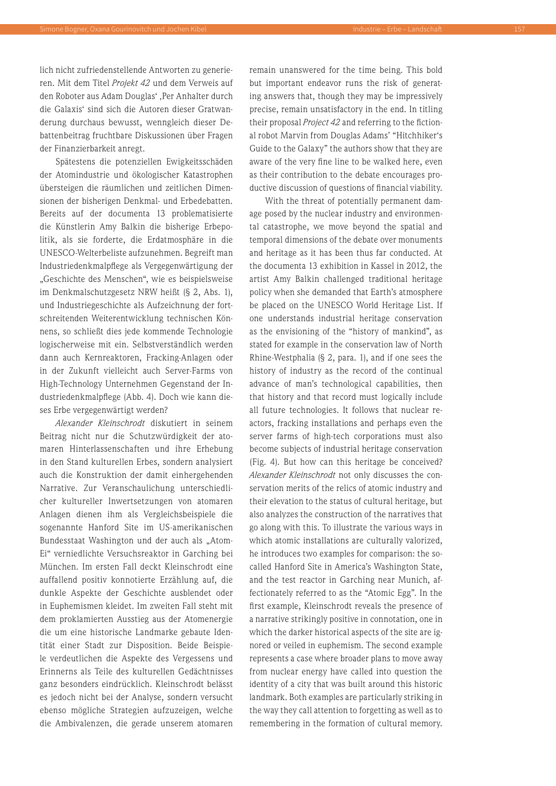lich nicht zufriedenstellende Antworten zu generieren. Mit dem Titel *Projekt 42* und dem Verweis auf den Roboter aus Adam Douglas', Per Anhalter durch die Galaxis' sind sich die Autoren dieser Gratwanderung durchaus bewusst, wenngleich dieser Debattenbeitrag fruchtbare Diskussionen über Fragen der Finanzierbarkeit anregt.

Spätestens die potenziellen Ewigkeitsschäden der Atomindustrie und ökologischer Katastrophen übersteigen die räumlichen und zeitlichen Dimensionen der bisherigen Denkmal- und Erbedebatten. Bereits auf der documenta 13 problematisierte die Künstlerin Amy Balkin die bisherige Erbepolitik, als sie forderte, die Erdatmosphäre in die UNESCO-Welterbeliste aufzunehmen. Begreift man Industriedenkmalpflege als Vergegenwärtigung der "Geschichte des Menschen", wie es beispielsweise im Denkmalschutzgesetz NRW heißt (§ 2, Abs. 1), und Industriegeschichte als Aufzeichnung der fortschreitenden Weiterentwicklung technischen Könnens, so schließt dies jede kommende Technologie logischerweise mit ein. Selbstverständlich werden dann auch Kernreaktoren, Fracking-Anlagen oder in der Zukunft vielleicht auch Server-Farms von High-Technology Unternehmen Gegenstand der Industriedenkmalpflege (Abb. 4). Doch wie kann dieses Erbe vergegenwärtigt werden?

*Alexander Kleinschrodt* diskutiert in seinem Beitrag nicht nur die Schutzwürdigkeit der atomaren Hinterlassenschaften und ihre Erhebung in den Stand kulturellen Erbes, sondern analysiert auch die Konstruktion der damit einhergehenden Narrative. Zur Veranschaulichung unterschiedlicher kultureller Inwertsetzungen von atomaren Anlagen dienen ihm als Vergleichsbeispiele die sogenannte Hanford Site im US-amerikanischen Bundesstaat Washington und der auch als "Atom-Ei" verniedlichte Versuchsreaktor in Garching bei München. Im ersten Fall deckt Kleinschrodt eine auffallend positiv konnotierte Erzählung auf, die dunkle Aspekte der Geschichte ausblendet oder in Euphemismen kleidet. Im zweiten Fall steht mit dem proklamierten Ausstieg aus der Atomenergie die um eine historische Landmarke gebaute Identität einer Stadt zur Disposition. Beide Beispiele verdeutlichen die Aspekte des Vergessens und Erinnerns als Teile des kulturellen Gedächtnisses ganz besonders eindrücklich. Kleinschrodt belässt es jedoch nicht bei der Analyse, sondern versucht ebenso mögliche Strategien aufzuzeigen, welche die Ambivalenzen, die gerade unserem atomaren remain unanswered for the time being. This bold but important endeavor runs the risk of generating answers that, though they may be impressively precise, remain unsatisfactory in the end. In titling their proposal *Project 42* and referring to the fictional robot Marvin from Douglas Adams' "Hitchhiker's Guide to the Galaxy" the authors show that they are aware of the very fine line to be walked here, even as their contribution to the debate encourages productive discussion of questions of financial viability.

With the threat of potentially permanent damage posed by the nuclear industry and environmental catastrophe, we move beyond the spatial and temporal dimensions of the debate over monuments and heritage as it has been thus far conducted. At the documenta 13 exhibition in Kassel in 2012, the artist Amy Balkin challenged traditional heritage policy when she demanded that Earth's atmosphere be placed on the UNESCO World Heritage List. If one understands industrial heritage conservation as the envisioning of the "history of mankind", as stated for example in the conservation law of North Rhine-Westphalia (§ 2, para. 1), and if one sees the history of industry as the record of the continual advance of man's technological capabilities, then that history and that record must logically include all future technologies. It follows that nuclear reactors, fracking installations and perhaps even the server farms of high-tech corporations must also become subjects of industrial heritage conservation (Fig. 4). But how can this heritage be conceived? *Alexander Kleinschrodt* not only discusses the conservation merits of the relics of atomic industry and their elevation to the status of cultural heritage, but also analyzes the construction of the narratives that go along with this. To illustrate the various ways in which atomic installations are culturally valorized, he introduces two examples for comparison: the socalled Hanford Site in America's Washington State, and the test reactor in Garching near Munich, affectionately referred to as the "Atomic Egg". In the first example, Kleinschrodt reveals the presence of a narrative strikingly positive in connotation, one in which the darker historical aspects of the site are ignored or veiled in euphemism. The second example represents a case where broader plans to move away from nuclear energy have called into question the identity of a city that was built around this historic landmark. Both examples are particularly striking in the way they call attention to forgetting as well as to remembering in the formation of cultural memory.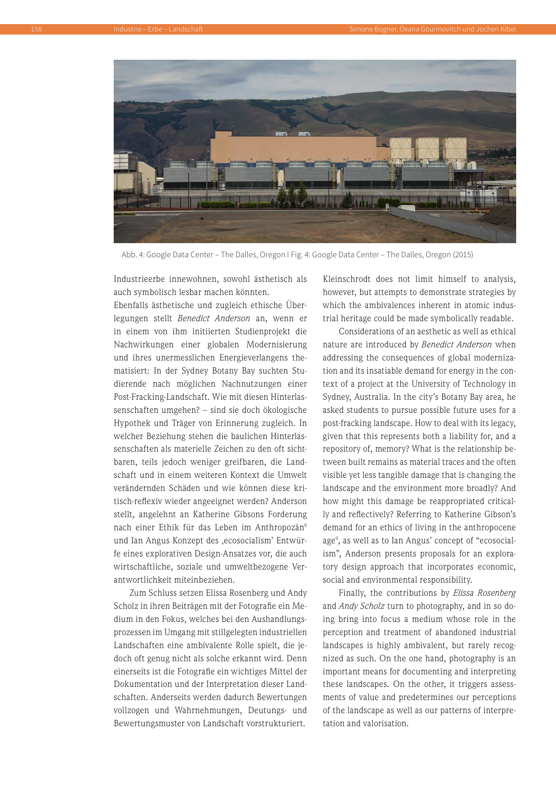

Abb. 4: Google Data Center – The Dalles, Oregon I Fig. 4: Google Data Center – The Dalles, Oregon (2015)

Industrieerbe innewohnen, sowohl ästhetisch als auch symbolisch lesbar machen könnten.

Ebenfalls ästhetische und zugleich ethische Überlegungen stellt *Benedict Anderson* an, wenn er in einem von ihm initiierten Studienprojekt die Nachwirkungen einer globalen Modernisierung und ihres unermesslichen Energieverlangens thematisiert: In der Sydney Botany Bay suchten Studierende nach möglichen Nachnutzungen einer Post-Fracking-Landschaft. Wie mit diesen Hinterlassenschaften umgehen? – sind sie doch ökologische Hypothek und Träger von Erinnerung zugleich. In welcher Beziehung stehen die baulichen Hinterlassenschaften als materielle Zeichen zu den oft sichtbaren, teils jedoch weniger greifbaren, die Landschaft und in einem weiteren Kontext die Umwelt verändernden Schäden und wie können diese kritisch-reflexiv wieder angeeignet werden? Anderson stellt, angelehnt an Katherine Gibsons Forderung nach einer Ethik für das Leben im Anthropozän<sup>9</sup> und Ian Angus Konzept des ,ecosocialism' Entwürfe eines explorativen Design-Ansatzes vor, die auch wirtschaftliche, soziale und umweltbezogene Verantwortlichkeit miteinbeziehen.

Zum Schluss setzen Elissa Rosenberg und Andy Scholz in ihren Beiträgen mit der Fotografie ein Medium in den Fokus, welches bei den Aushandlungsprozessen im Umgang mit stillgelegten industriellen Landschaften eine ambivalente Rolle spielt, die jedoch oft genug nicht als solche erkannt wird. Denn einerseits ist die Fotografie ein wichtiges Mittel der Dokumentation und der Interpretation dieser Landschaften. Anderseits werden dadurch Bewertungen vollzogen und Wahrnehmungen, Deutungs- und Bewertungsmuster von Landschaft vorstrukturiert.

Kleinschrodt does not limit himself to analysis, however, but attempts to demonstrate strategies by which the ambivalences inherent in atomic industrial heritage could be made symbolically readable.

Considerations of an aesthetic as well as ethical nature are introduced by *Benedict Anderson* when addressing the consequences of global modernization and its insatiable demand for energy in the context of a project at the University of Technology in Sydney, Australia. In the city's Botany Bay area, he asked students to pursue possible future uses for a post-fracking landscape. How to deal with its legacy, given that this represents both a liability for, and a repository of, memory? What is the relationship between built remains as material traces and the often visible yet less tangible damage that is changing the landscape and the environment more broadly? And how might this damage be reappropriated critically and reflectively? Referring to Katherine Gibson's demand for an ethics of living in the anthropocene age<sup>9</sup>, as well as to Ian Angus' concept of "ecosocialism", Anderson presents proposals for an exploratory design approach that incorporates economic, social and environmental responsibility.

Finally, the contributions by *Elissa Rosenberg* and *Andy Scholz* turn to photography, and in so doing bring into focus a medium whose role in the perception and treatment of abandoned industrial landscapes is highly ambivalent, but rarely recognized as such. On the one hand, photography is an important means for documenting and interpreting these landscapes. On the other, it triggers assessments of value and predetermines our perceptions of the landscape as well as our patterns of interpretation and valorisation.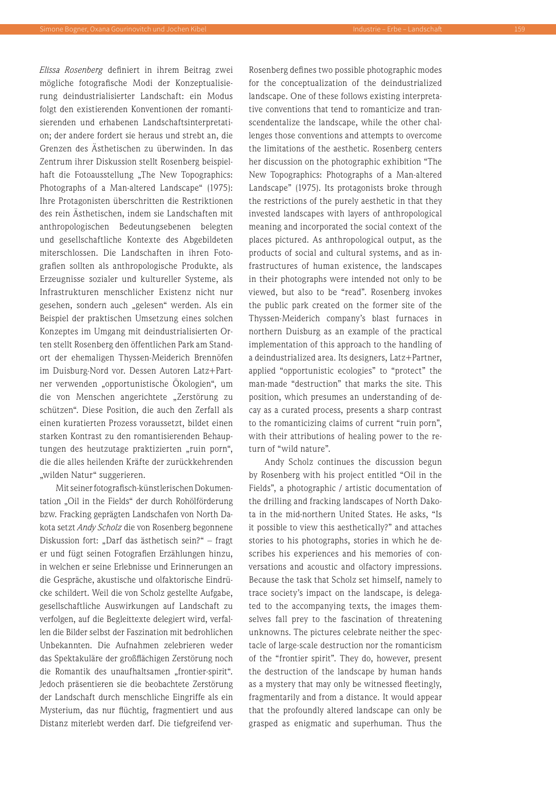*Elissa Rosenberg* definiert in ihrem Beitrag zwei mögliche fotografische Modi der Konzeptualisierung deindustrialisierter Landschaft: ein Modus folgt den existierenden Konventionen der romantisierenden und erhabenen Landschaftsinterpretation; der andere fordert sie heraus und strebt an, die Grenzen des Ästhetischen zu überwinden. In das Zentrum ihrer Diskussion stellt Rosenberg beispielhaft die Fotoausstellung "The New Topographics: Photographs of a Man-altered Landscape" (1975): Ihre Protagonisten überschritten die Restriktionen des rein Ästhetischen, indem sie Landschaften mit anthropologischen Bedeutungsebenen belegten und gesellschaftliche Kontexte des Abgebildeten miterschlossen. Die Landschaften in ihren Fotografien sollten als anthropologische Produkte, als Erzeugnisse sozialer und kultureller Systeme, als Infrastrukturen menschlicher Existenz nicht nur gesehen, sondern auch "gelesen" werden. Als ein Beispiel der praktischen Umsetzung eines solchen Konzeptes im Umgang mit deindustrialisierten Orten stellt Rosenberg den öffentlichen Park am Standort der ehemaligen Thyssen-Meiderich Brennöfen im Duisburg-Nord vor. Dessen Autoren Latz+Partner verwenden "opportunistische Ökologien", um die von Menschen angerichtete "Zerstörung zu schützen". Diese Position, die auch den Zerfall als einen kuratierten Prozess voraussetzt, bildet einen starken Kontrast zu den romantisierenden Behauptungen des heutzutage praktizierten "ruin porn", die die alles heilenden Kräfte der zurückkehrenden "wilden Natur" suggerieren.

Mit seiner fotografisch-künstlerischen Dokumentation "Oil in the Fields" der durch Rohölförderung bzw. Fracking geprägten Landschafen von North Dakota setzt *Andy Scholz* die von Rosenberg begonnene Diskussion fort: "Darf das ästhetisch sein?" – fragt er und fügt seinen Fotografien Erzählungen hinzu, in welchen er seine Erlebnisse und Erinnerungen an die Gespräche, akustische und olfaktorische Eindrücke schildert. Weil die von Scholz gestellte Aufgabe, gesellschaftliche Auswirkungen auf Landschaft zu verfolgen, auf die Begleittexte delegiert wird, verfallen die Bilder selbst der Faszination mit bedrohlichen Unbekannten. Die Aufnahmen zelebrieren weder das Spektakuläre der großflächigen Zerstörung noch die Romantik des unaufhaltsamen "frontier-spirit". Jedoch präsentieren sie die beobachtete Zerstörung der Landschaft durch menschliche Eingriffe als ein Mysterium, das nur flüchtig, fragmentiert und aus Distanz miterlebt werden darf. Die tiefgreifend ver-

Rosenberg defines two possible photographic modes for the conceptualization of the deindustrialized landscape. One of these follows existing interpretative conventions that tend to romanticize and transcendentalize the landscape, while the other challenges those conventions and attempts to overcome the limitations of the aesthetic. Rosenberg centers her discussion on the photographic exhibition "The New Topographics: Photographs of a Man-altered Landscape" (1975). Its protagonists broke through the restrictions of the purely aesthetic in that they invested landscapes with layers of anthropological meaning and incorporated the social context of the places pictured. As anthropological output, as the products of social and cultural systems, and as infrastructures of human existence, the landscapes in their photographs were intended not only to be viewed, but also to be "read". Rosenberg invokes the public park created on the former site of the Thyssen-Meiderich company's blast furnaces in northern Duisburg as an example of the practical implementation of this approach to the handling of a deindustrialized area. Its designers, Latz+Partner, applied "opportunistic ecologies" to "protect" the man-made "destruction" that marks the site. This position, which presumes an understanding of decay as a curated process, presents a sharp contrast to the romanticizing claims of current "ruin porn", with their attributions of healing power to the return of "wild nature".

Andy Scholz continues the discussion begun by Rosenberg with his project entitled "Oil in the Fields", a photographic / artistic documentation of the drilling and fracking landscapes of North Dakota in the mid-northern United States. He asks, "Is it possible to view this aesthetically?" and attaches stories to his photographs, stories in which he describes his experiences and his memories of conversations and acoustic and olfactory impressions. Because the task that Scholz set himself, namely to trace society's impact on the landscape, is delegated to the accompanying texts, the images themselves fall prey to the fascination of threatening unknowns. The pictures celebrate neither the spectacle of large-scale destruction nor the romanticism of the "frontier spirit". They do, however, present the destruction of the landscape by human hands as a mystery that may only be witnessed fleetingly, fragmentarily and from a distance. It would appear that the profoundly altered landscape can only be grasped as enigmatic and superhuman. Thus the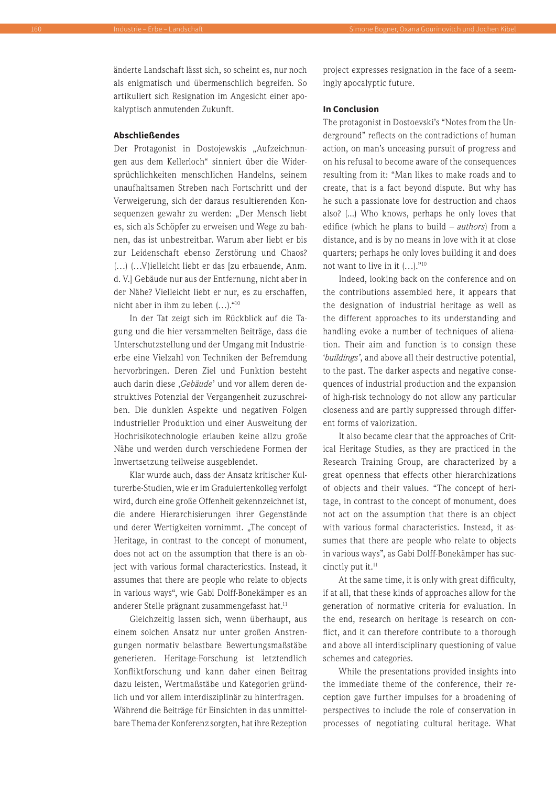änderte Landschaft lässt sich, so scheint es, nur noch als enigmatisch und übermenschlich begreifen. So artikuliert sich Resignation im Angesicht einer apokalyptisch anmutenden Zukunft.

### **Abschließendes**

Der Protagonist in Dostojewskis "Aufzeichnungen aus dem Kellerloch" sinniert über die Widersprüchlichkeiten menschlichen Handelns, seinem unaufhaltsamen Streben nach Fortschritt und der Verweigerung, sich der daraus resultierenden Konsequenzen gewahr zu werden: "Der Mensch liebt es, sich als Schöpfer zu erweisen und Wege zu bahnen, das ist unbestreitbar. Warum aber liebt er bis zur Leidenschaft ebenso Zerstörung und Chaos? (…) (…V)ielleicht liebt er das [zu erbauende, Anm. d. V.] Gebäude nur aus der Entfernung, nicht aber in der Nähe? Vielleicht liebt er nur, es zu erschaffen, nicht aber in ihm zu leben (…)."10

In der Tat zeigt sich im Rückblick auf die Tagung und die hier versammelten Beiträge, dass die Unterschutzstellung und der Umgang mit Industrieerbe eine Vielzahl von Techniken der Befremdung hervorbringen. Deren Ziel und Funktion besteht auch darin diese , Gebäude' und vor allem deren destruktives Potenzial der Vergangenheit zuzuschreiben. Die dunklen Aspekte und negativen Folgen industrieller Produktion und einer Ausweitung der Hochrisikotechnologie erlauben keine allzu große Nähe und werden durch verschiedene Formen der Inwertsetzung teilweise ausgeblendet.

Klar wurde auch, dass der Ansatz kritischer Kulturerbe-Studien, wie er im Graduiertenkolleg verfolgt wird, durch eine große Offenheit gekennzeichnet ist, die andere Hierarchisierungen ihrer Gegenstände und derer Wertigkeiten vornimmt. "The concept of Heritage, in contrast to the concept of monument, does not act on the assumption that there is an object with various formal charactericstics. Instead, it assumes that there are people who relate to objects in various ways", wie Gabi Dolff-Bonekämper es an anderer Stelle prägnant zusammengefasst hat.<sup>11</sup>

Gleichzeitig lassen sich, wenn überhaupt, aus einem solchen Ansatz nur unter großen Anstrengungen normativ belastbare Bewertungsmaßstäbe generieren. Heritage-Forschung ist letztendlich Konfliktforschung und kann daher einen Beitrag dazu leisten, Wertmaßstäbe und Kategorien gründlich und vor allem interdisziplinär zu hinterfragen. Während die Beiträge für Einsichten in das unmittelbare Thema der Konferenz sorgten, hat ihre Rezeption

project expresses resignation in the face of a seemingly apocalyptic future.

### **In Conclusion**

The protagonist in Dostoevski's "Notes from the Underground" reflects on the contradictions of human action, on man's unceasing pursuit of progress and on his refusal to become aware of the consequences resulting from it: "Man likes to make roads and to create, that is a fact beyond dispute. But why has he such a passionate love for destruction and chaos also? (...) Who knows, perhaps he only loves that edifice (which he plans to build – *authors*) from a distance, and is by no means in love with it at close quarters; perhaps he only loves building it and does not want to live in it  $(...)$ ."<sup>10</sup>

Indeed, looking back on the conference and on the contributions assembled here, it appears that the designation of industrial heritage as well as the different approaches to its understanding and handling evoke a number of techniques of alienation. Their aim and function is to consign these '*buildings'*, and above all their destructive potential, to the past. The darker aspects and negative consequences of industrial production and the expansion of high-risk technology do not allow any particular closeness and are partly suppressed through different forms of valorization.

It also became clear that the approaches of Critical Heritage Studies, as they are practiced in the Research Training Group, are characterized by a great openness that effects other hierarchizations of objects and their values. "The concept of heritage, in contrast to the concept of monument, does not act on the assumption that there is an object with various formal characteristics. Instead, it assumes that there are people who relate to objects in various ways", as Gabi Dolff-Bonekämper has succinctly put it.<sup>11</sup>

At the same time, it is only with great difficulty, if at all, that these kinds of approaches allow for the generation of normative criteria for evaluation. In the end, research on heritage is research on conflict, and it can therefore contribute to a thorough and above all interdisciplinary questioning of value schemes and categories.

While the presentations provided insights into the immediate theme of the conference, their reception gave further impulses for a broadening of perspectives to include the role of conservation in processes of negotiating cultural heritage. What